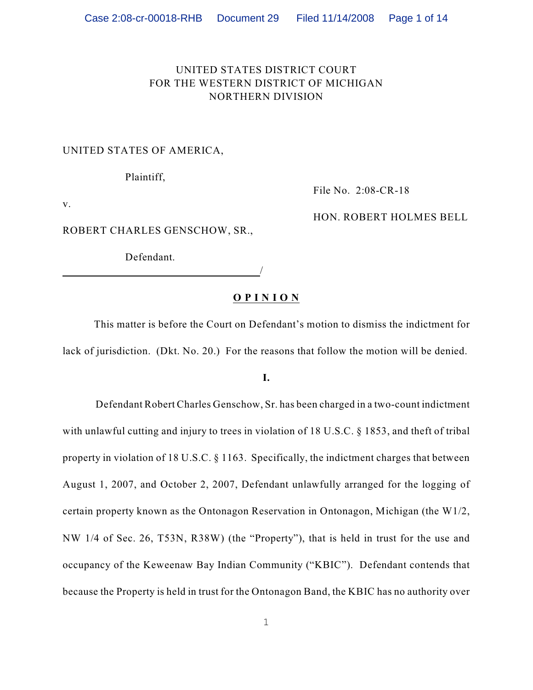## UNITED STATES DISTRICT COURT FOR THE WESTERN DISTRICT OF MICHIGAN NORTHERN DIVISION

## UNITED STATES OF AMERICA,

Plaintiff,

File No. 2:08-CR-18

HON. ROBERT HOLMES BELL

v.

ROBERT CHARLES GENSCHOW, SR.,

Defendant.

/

## **O P I N I O N**

This matter is before the Court on Defendant's motion to dismiss the indictment for lack of jurisdiction. (Dkt. No. 20.) For the reasons that follow the motion will be denied.

**I.**

 Defendant Robert Charles Genschow, Sr. has been charged in a two-count indictment with unlawful cutting and injury to trees in violation of 18 U.S.C. § 1853, and theft of tribal property in violation of 18 U.S.C. § 1163. Specifically, the indictment charges that between August 1, 2007, and October 2, 2007, Defendant unlawfully arranged for the logging of certain property known as the Ontonagon Reservation in Ontonagon, Michigan (the W1/2, NW 1/4 of Sec. 26, T53N, R38W) (the "Property"), that is held in trust for the use and occupancy of the Keweenaw Bay Indian Community ("KBIC"). Defendant contends that because the Property is held in trust for the Ontonagon Band, the KBIC has no authority over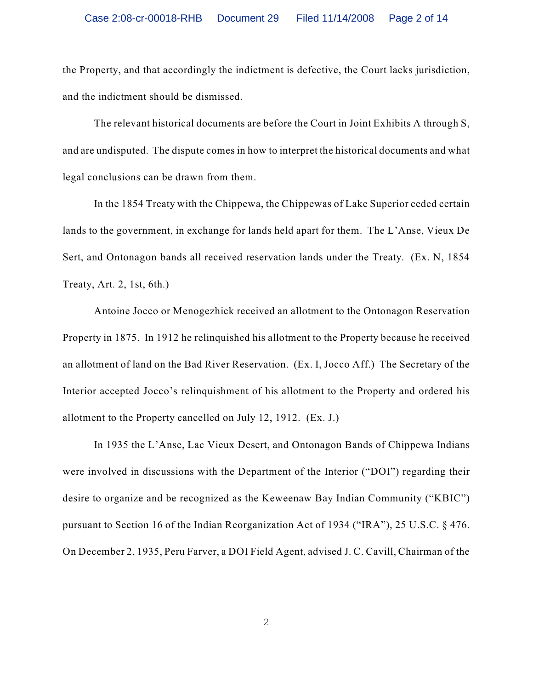the Property, and that accordingly the indictment is defective, the Court lacks jurisdiction, and the indictment should be dismissed.

The relevant historical documents are before the Court in Joint Exhibits A through S, and are undisputed. The dispute comes in how to interpret the historical documents and what legal conclusions can be drawn from them.

In the 1854 Treaty with the Chippewa, the Chippewas of Lake Superior ceded certain lands to the government, in exchange for lands held apart for them. The L'Anse, Vieux De Sert, and Ontonagon bands all received reservation lands under the Treaty. (Ex. N, 1854 Treaty, Art. 2, 1st, 6th.)

Antoine Jocco or Menogezhick received an allotment to the Ontonagon Reservation Property in 1875. In 1912 he relinquished his allotment to the Property because he received an allotment of land on the Bad River Reservation. (Ex. I, Jocco Aff.) The Secretary of the Interior accepted Jocco's relinquishment of his allotment to the Property and ordered his allotment to the Property cancelled on July 12, 1912. (Ex. J.)

In 1935 the L'Anse, Lac Vieux Desert, and Ontonagon Bands of Chippewa Indians were involved in discussions with the Department of the Interior ("DOI") regarding their desire to organize and be recognized as the Keweenaw Bay Indian Community ("KBIC") pursuant to Section 16 of the Indian Reorganization Act of 1934 ("IRA"), 25 U.S.C. § 476. On December 2, 1935, Peru Farver, a DOI Field Agent, advised J. C. Cavill, Chairman of the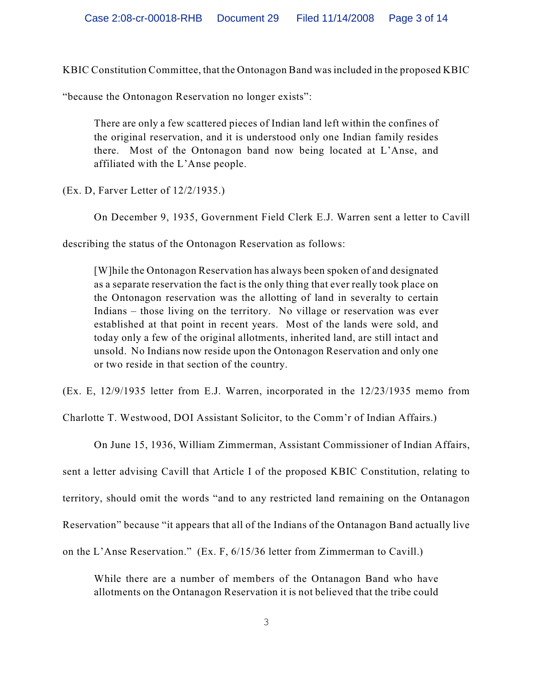KBIC Constitution Committee, that the Ontonagon Band was included in the proposed KBIC

"because the Ontonagon Reservation no longer exists":

There are only a few scattered pieces of Indian land left within the confines of the original reservation, and it is understood only one Indian family resides there. Most of the Ontonagon band now being located at L'Anse, and affiliated with the L'Anse people.

(Ex. D, Farver Letter of 12/2/1935.)

On December 9, 1935, Government Field Clerk E.J. Warren sent a letter to Cavill

describing the status of the Ontonagon Reservation as follows:

[W]hile the Ontonagon Reservation has always been spoken of and designated as a separate reservation the fact is the only thing that ever really took place on the Ontonagon reservation was the allotting of land in severalty to certain Indians – those living on the territory. No village or reservation was ever established at that point in recent years. Most of the lands were sold, and today only a few of the original allotments, inherited land, are still intact and unsold. No Indians now reside upon the Ontonagon Reservation and only one or two reside in that section of the country.

(Ex. E, 12/9/1935 letter from E.J. Warren, incorporated in the 12/23/1935 memo from

Charlotte T. Westwood, DOI Assistant Solicitor, to the Comm'r of Indian Affairs.)

On June 15, 1936, William Zimmerman, Assistant Commissioner of Indian Affairs, sent a letter advising Cavill that Article I of the proposed KBIC Constitution, relating to territory, should omit the words "and to any restricted land remaining on the Ontanagon Reservation" because "it appears that all of the Indians of the Ontanagon Band actually live on the L'Anse Reservation." (Ex. F, 6/15/36 letter from Zimmerman to Cavill.)

While there are a number of members of the Ontanagon Band who have allotments on the Ontanagon Reservation it is not believed that the tribe could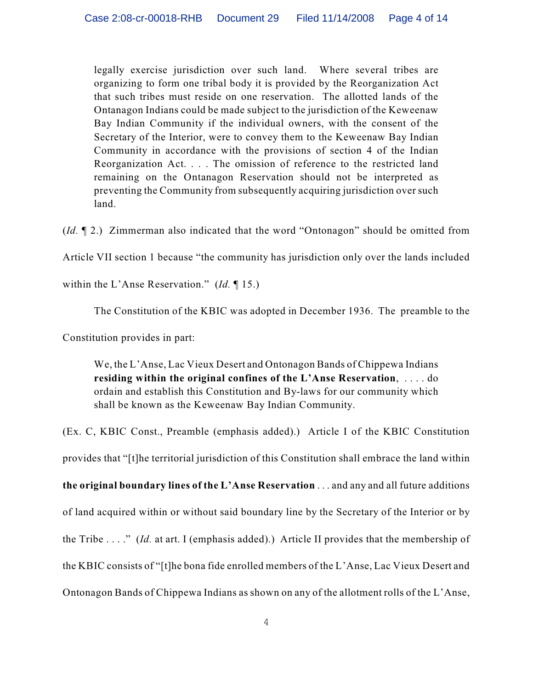legally exercise jurisdiction over such land. Where several tribes are organizing to form one tribal body it is provided by the Reorganization Act that such tribes must reside on one reservation. The allotted lands of the Ontanagon Indians could be made subject to the jurisdiction of the Keweenaw Bay Indian Community if the individual owners, with the consent of the Secretary of the Interior, were to convey them to the Keweenaw Bay Indian Community in accordance with the provisions of section 4 of the Indian Reorganization Act. . . . The omission of reference to the restricted land remaining on the Ontanagon Reservation should not be interpreted as preventing the Community from subsequently acquiring jurisdiction over such land.

(*Id.* ¶ 2.) Zimmerman also indicated that the word "Ontonagon" should be omitted from

Article VII section 1 because "the community has jurisdiction only over the lands included

within the L'Anse Reservation." (*Id.* ¶ 15.)

The Constitution of the KBIC was adopted in December 1936. The preamble to the

Constitution provides in part:

We, the L'Anse, Lac Vieux Desert and Ontonagon Bands of Chippewa Indians **residing within the original confines of the L'Anse Reservation**, . . . . do ordain and establish this Constitution and By-laws for our community which shall be known as the Keweenaw Bay Indian Community.

(Ex. C, KBIC Const., Preamble (emphasis added).) Article I of the KBIC Constitution provides that "[t]he territorial jurisdiction of this Constitution shall embrace the land within **the original boundary lines of the L'Anse Reservation** . . . and any and all future additions of land acquired within or without said boundary line by the Secretary of the Interior or by the Tribe . . . ." (*Id.* at art. I (emphasis added).) Article II provides that the membership of the KBIC consists of "[t]he bona fide enrolled members of the L'Anse, Lac Vieux Desert and Ontonagon Bands of Chippewa Indians as shown on any of the allotment rolls of the L'Anse,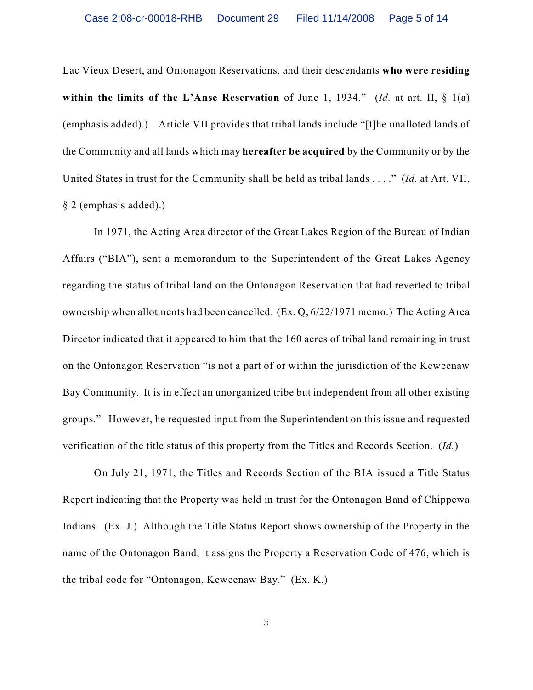Lac Vieux Desert, and Ontonagon Reservations, and their descendants **who were residing within the limits of the L'Anse Reservation** of June 1, 1934." (*Id.* at art. II, § 1(a) (emphasis added).) Article VII provides that tribal lands include "[t]he unalloted lands of the Community and all lands which may **hereafter be acquired** by the Community or by the United States in trust for the Community shall be held as tribal lands . . . ." (*Id.* at Art. VII, § 2 (emphasis added).)

In 1971, the Acting Area director of the Great Lakes Region of the Bureau of Indian Affairs ("BIA"), sent a memorandum to the Superintendent of the Great Lakes Agency regarding the status of tribal land on the Ontonagon Reservation that had reverted to tribal ownership when allotments had been cancelled. (Ex. Q, 6/22/1971 memo.) The Acting Area Director indicated that it appeared to him that the 160 acres of tribal land remaining in trust on the Ontonagon Reservation "is not a part of or within the jurisdiction of the Keweenaw Bay Community. It is in effect an unorganized tribe but independent from all other existing groups." However, he requested input from the Superintendent on this issue and requested verification of the title status of this property from the Titles and Records Section. (*Id.*)

On July 21, 1971, the Titles and Records Section of the BIA issued a Title Status Report indicating that the Property was held in trust for the Ontonagon Band of Chippewa Indians. (Ex. J.) Although the Title Status Report shows ownership of the Property in the name of the Ontonagon Band, it assigns the Property a Reservation Code of 476, which is the tribal code for "Ontonagon, Keweenaw Bay." (Ex. K.)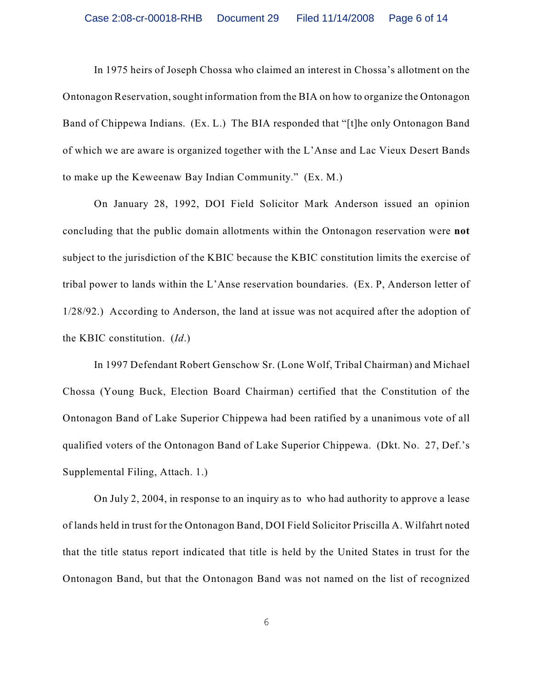In 1975 heirs of Joseph Chossa who claimed an interest in Chossa's allotment on the Ontonagon Reservation, sought information from the BIA on how to organize the Ontonagon Band of Chippewa Indians. (Ex. L.) The BIA responded that "[t]he only Ontonagon Band of which we are aware is organized together with the L'Anse and Lac Vieux Desert Bands to make up the Keweenaw Bay Indian Community." (Ex. M.)

On January 28, 1992, DOI Field Solicitor Mark Anderson issued an opinion concluding that the public domain allotments within the Ontonagon reservation were **not** subject to the jurisdiction of the KBIC because the KBIC constitution limits the exercise of tribal power to lands within the L'Anse reservation boundaries. (Ex. P, Anderson letter of 1/28/92.) According to Anderson, the land at issue was not acquired after the adoption of the KBIC constitution. (*Id*.)

In 1997 Defendant Robert Genschow Sr. (Lone Wolf, Tribal Chairman) and Michael Chossa (Young Buck, Election Board Chairman) certified that the Constitution of the Ontonagon Band of Lake Superior Chippewa had been ratified by a unanimous vote of all qualified voters of the Ontonagon Band of Lake Superior Chippewa. (Dkt. No. 27, Def.'s Supplemental Filing, Attach. 1.)

On July 2, 2004, in response to an inquiry as to who had authority to approve a lease of lands held in trust for the Ontonagon Band, DOI Field Solicitor Priscilla A. Wilfahrt noted that the title status report indicated that title is held by the United States in trust for the Ontonagon Band, but that the Ontonagon Band was not named on the list of recognized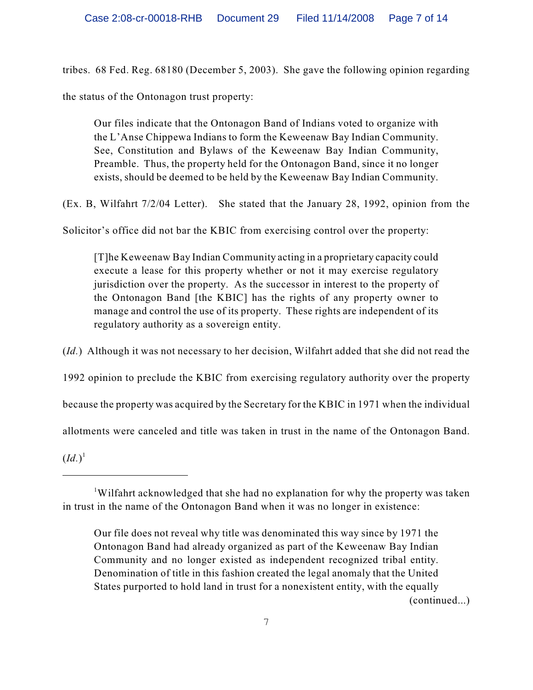tribes. 68 Fed. Reg. 68180 (December 5, 2003). She gave the following opinion regarding

the status of the Ontonagon trust property:

Our files indicate that the Ontonagon Band of Indians voted to organize with the L'Anse Chippewa Indians to form the Keweenaw Bay Indian Community. See, Constitution and Bylaws of the Keweenaw Bay Indian Community, Preamble. Thus, the property held for the Ontonagon Band, since it no longer exists, should be deemed to be held by the Keweenaw Bay Indian Community.

(Ex. B, Wilfahrt 7/2/04 Letter). She stated that the January 28, 1992, opinion from the

Solicitor's office did not bar the KBIC from exercising control over the property:

[T]he Keweenaw Bay Indian Community acting in a proprietary capacity could execute a lease for this property whether or not it may exercise regulatory jurisdiction over the property. As the successor in interest to the property of the Ontonagon Band [the KBIC] has the rights of any property owner to manage and control the use of its property. These rights are independent of its regulatory authority as a sovereign entity.

(*Id.*) Although it was not necessary to her decision, Wilfahrt added that she did not read the

1992 opinion to preclude the KBIC from exercising regulatory authority over the property

because the property was acquired by the Secretary for the KBIC in 1971 when the individual

allotments were canceled and title was taken in trust in the name of the Ontonagon Band.

 $(Id.)^1$ 

Wilfahrt acknowledged that she had no explanation for why the property was taken <sup>1</sup> in trust in the name of the Ontonagon Band when it was no longer in existence:

Our file does not reveal why title was denominated this way since by 1971 the Ontonagon Band had already organized as part of the Keweenaw Bay Indian Community and no longer existed as independent recognized tribal entity. Denomination of title in this fashion created the legal anomaly that the United States purported to hold land in trust for a nonexistent entity, with the equally (continued...)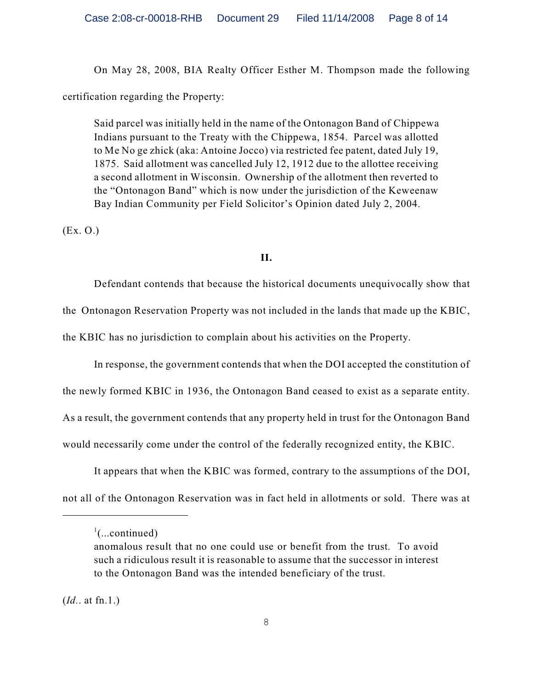On May 28, 2008, BIA Realty Officer Esther M. Thompson made the following certification regarding the Property:

Said parcel was initially held in the name of the Ontonagon Band of Chippewa Indians pursuant to the Treaty with the Chippewa, 1854. Parcel was allotted to Me No ge zhick (aka: Antoine Jocco) via restricted fee patent, dated July 19, 1875. Said allotment was cancelled July 12, 1912 due to the allottee receiving a second allotment in Wisconsin. Ownership of the allotment then reverted to the "Ontonagon Band" which is now under the jurisdiction of the Keweenaw Bay Indian Community per Field Solicitor's Opinion dated July 2, 2004.

(Ex. O.)

## **II.**

Defendant contends that because the historical documents unequivocally show that the Ontonagon Reservation Property was not included in the lands that made up the KBIC, the KBIC has no jurisdiction to complain about his activities on the Property.

In response, the government contends that when the DOI accepted the constitution of the newly formed KBIC in 1936, the Ontonagon Band ceased to exist as a separate entity. As a result, the government contends that any property held in trust for the Ontonagon Band would necessarily come under the control of the federally recognized entity, the KBIC.

It appears that when the KBIC was formed, contrary to the assumptions of the DOI, not all of the Ontonagon Reservation was in fact held in allotments or sold. There was at

(*Id.*. at fn.1.)

 $\cdot$ <sup>1</sup>(...continued)

anomalous result that no one could use or benefit from the trust. To avoid such a ridiculous result it is reasonable to assume that the successor in interest to the Ontonagon Band was the intended beneficiary of the trust.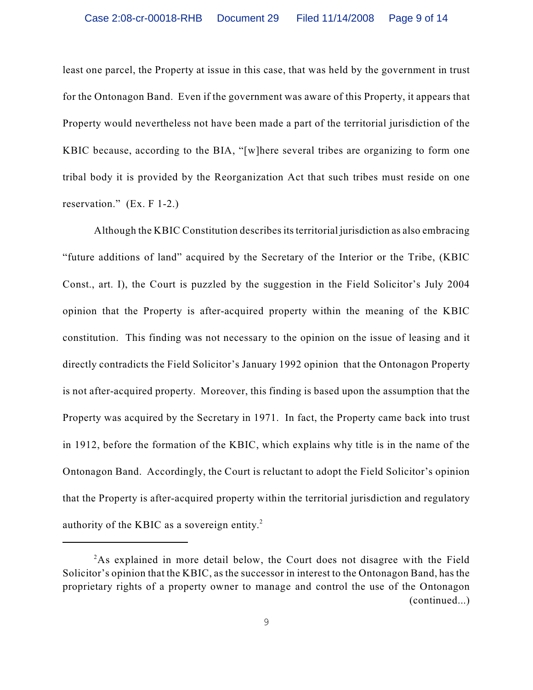least one parcel, the Property at issue in this case, that was held by the government in trust for the Ontonagon Band. Even if the government was aware of this Property, it appears that Property would nevertheless not have been made a part of the territorial jurisdiction of the KBIC because, according to the BIA, "[w]here several tribes are organizing to form one tribal body it is provided by the Reorganization Act that such tribes must reside on one reservation." (Ex. F 1-2.)

Although the KBIC Constitution describes its territorial jurisdiction as also embracing "future additions of land" acquired by the Secretary of the Interior or the Tribe, (KBIC Const., art. I), the Court is puzzled by the suggestion in the Field Solicitor's July 2004 opinion that the Property is after-acquired property within the meaning of the KBIC constitution. This finding was not necessary to the opinion on the issue of leasing and it directly contradicts the Field Solicitor's January 1992 opinion that the Ontonagon Property is not after-acquired property. Moreover, this finding is based upon the assumption that the Property was acquired by the Secretary in 1971. In fact, the Property came back into trust in 1912, before the formation of the KBIC, which explains why title is in the name of the Ontonagon Band. Accordingly, the Court is reluctant to adopt the Field Solicitor's opinion that the Property is after-acquired property within the territorial jurisdiction and regulatory authority of the KBIC as a sovereign entity.<sup>2</sup>

<sup>&</sup>lt;sup>2</sup>As explained in more detail below, the Court does not disagree with the Field Solicitor's opinion that the KBIC, as the successor in interest to the Ontonagon Band, has the proprietary rights of a property owner to manage and control the use of the Ontonagon (continued...)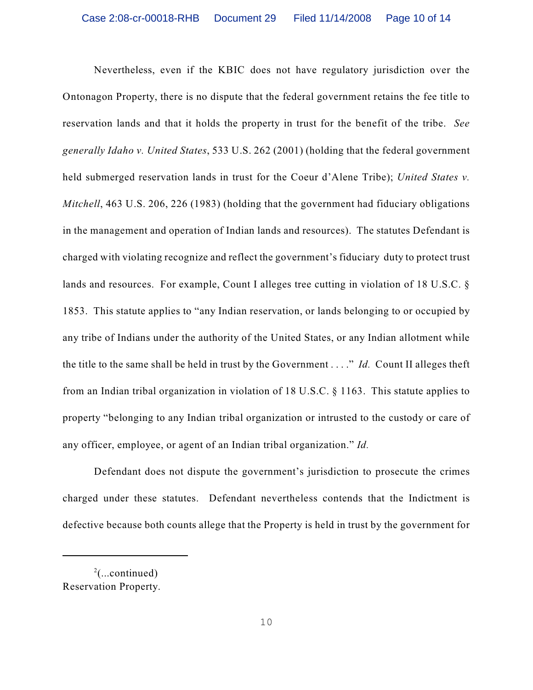Nevertheless, even if the KBIC does not have regulatory jurisdiction over the Ontonagon Property, there is no dispute that the federal government retains the fee title to reservation lands and that it holds the property in trust for the benefit of the tribe. *See generally Idaho v. United States*, 533 U.S. 262 (2001) (holding that the federal government held submerged reservation lands in trust for the Coeur d'Alene Tribe); *United States v. Mitchell*, 463 U.S. 206, 226 (1983) (holding that the government had fiduciary obligations in the management and operation of Indian lands and resources). The statutes Defendant is charged with violating recognize and reflect the government's fiduciary duty to protect trust lands and resources. For example, Count I alleges tree cutting in violation of 18 U.S.C. § 1853. This statute applies to "any Indian reservation, or lands belonging to or occupied by any tribe of Indians under the authority of the United States, or any Indian allotment while the title to the same shall be held in trust by the Government . . . ." *Id.* Count II alleges theft from an Indian tribal organization in violation of 18 U.S.C. § 1163. This statute applies to property "belonging to any Indian tribal organization or intrusted to the custody or care of any officer, employee, or agent of an Indian tribal organization." *Id.*

Defendant does not dispute the government's jurisdiction to prosecute the crimes charged under these statutes. Defendant nevertheless contends that the Indictment is defective because both counts allege that the Property is held in trust by the government for

 $2$ (...continued) Reservation Property.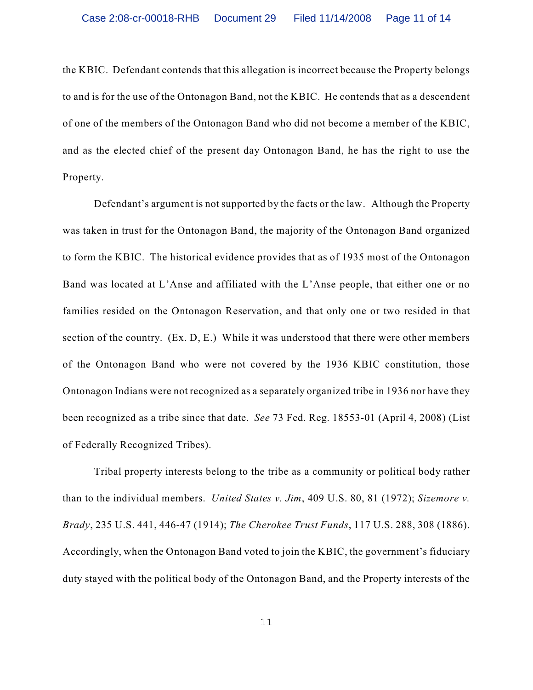the KBIC. Defendant contends that this allegation is incorrect because the Property belongs to and is for the use of the Ontonagon Band, not the KBIC. He contends that as a descendent of one of the members of the Ontonagon Band who did not become a member of the KBIC, and as the elected chief of the present day Ontonagon Band, he has the right to use the Property.

Defendant's argument is not supported by the facts or the law. Although the Property was taken in trust for the Ontonagon Band, the majority of the Ontonagon Band organized to form the KBIC. The historical evidence provides that as of 1935 most of the Ontonagon Band was located at L'Anse and affiliated with the L'Anse people, that either one or no families resided on the Ontonagon Reservation, and that only one or two resided in that section of the country. (Ex. D, E.) While it was understood that there were other members of the Ontonagon Band who were not covered by the 1936 KBIC constitution, those Ontonagon Indians were not recognized as a separately organized tribe in 1936 nor have they been recognized as a tribe since that date. *See* 73 Fed. Reg. 18553-01 (April 4, 2008) (List of Federally Recognized Tribes).

Tribal property interests belong to the tribe as a community or political body rather than to the individual members. *United States v. Jim*, 409 U.S. 80, 81 (1972); *Sizemore v. Brady*, 235 U.S. 441, 446-47 (1914); *The Cherokee Trust Funds*, 117 U.S. 288, 308 (1886). Accordingly, when the Ontonagon Band voted to join the KBIC, the government's fiduciary duty stayed with the political body of the Ontonagon Band, and the Property interests of the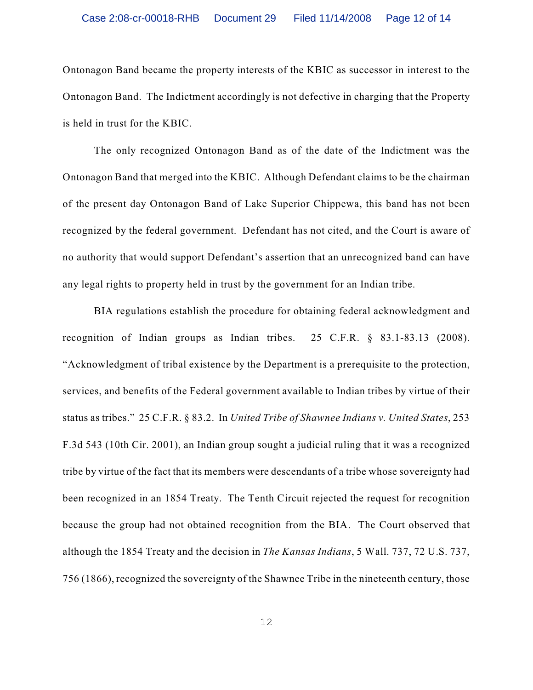Ontonagon Band became the property interests of the KBIC as successor in interest to the Ontonagon Band. The Indictment accordingly is not defective in charging that the Property is held in trust for the KBIC.

The only recognized Ontonagon Band as of the date of the Indictment was the Ontonagon Band that merged into the KBIC. Although Defendant claims to be the chairman of the present day Ontonagon Band of Lake Superior Chippewa, this band has not been recognized by the federal government. Defendant has not cited, and the Court is aware of no authority that would support Defendant's assertion that an unrecognized band can have any legal rights to property held in trust by the government for an Indian tribe.

BIA regulations establish the procedure for obtaining federal acknowledgment and recognition of Indian groups as Indian tribes. 25 C.F.R. § 83.1-83.13 (2008). "Acknowledgment of tribal existence by the Department is a prerequisite to the protection, services, and benefits of the Federal government available to Indian tribes by virtue of their status as tribes." 25 C.F.R. § 83.2. In *United Tribe of Shawnee Indians v. United States*, 253 F.3d 543 (10th Cir. 2001), an Indian group sought a judicial ruling that it was a recognized tribe by virtue of the fact that its members were descendants of a tribe whose sovereignty had been recognized in an 1854 Treaty. The Tenth Circuit rejected the request for recognition because the group had not obtained recognition from the BIA. The Court observed that although the 1854 Treaty and the decision in *The Kansas Indians*, 5 Wall. 737, 72 U.S. 737, 756 (1866), recognized the sovereignty of the Shawnee Tribe in the nineteenth century, those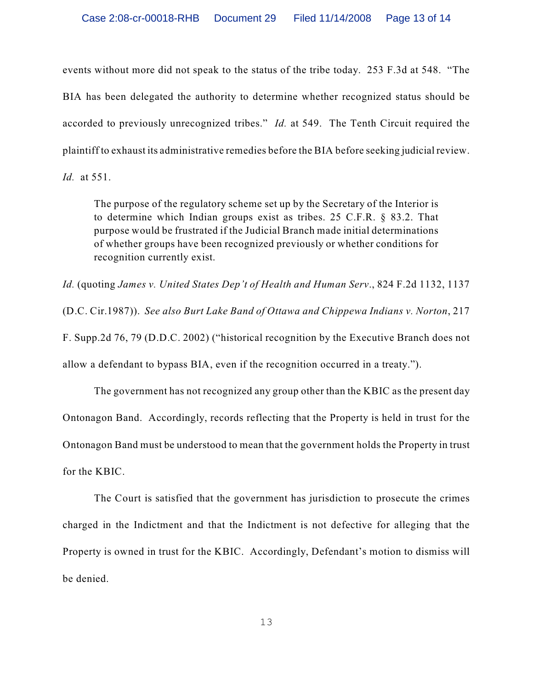events without more did not speak to the status of the tribe today. 253 F.3d at 548. "The BIA has been delegated the authority to determine whether recognized status should be accorded to previously unrecognized tribes." *Id.* at 549. The Tenth Circuit required the plaintiff to exhaust its administrative remedies before the BIA before seeking judicial review. *Id.* at 551.

The purpose of the regulatory scheme set up by the Secretary of the Interior is to determine which Indian groups exist as tribes. 25 C.F.R. § 83.2. That purpose would be frustrated if the Judicial Branch made initial determinations of whether groups have been recognized previously or whether conditions for recognition currently exist.

*Id.* (quoting *James v. United States Dep't of Health and Human Serv*., 824 F.2d 1132, 1137 (D.C. Cir.1987)). *See also Burt Lake Band of Ottawa and Chippewa Indians v. Norton*, 217 F. Supp.2d 76, 79 (D.D.C. 2002) ("historical recognition by the Executive Branch does not allow a defendant to bypass BIA, even if the recognition occurred in a treaty.").

The government has not recognized any group other than the KBIC as the present day Ontonagon Band. Accordingly, records reflecting that the Property is held in trust for the Ontonagon Band must be understood to mean that the government holds the Property in trust for the KBIC.

The Court is satisfied that the government has jurisdiction to prosecute the crimes charged in the Indictment and that the Indictment is not defective for alleging that the Property is owned in trust for the KBIC. Accordingly, Defendant's motion to dismiss will be denied.